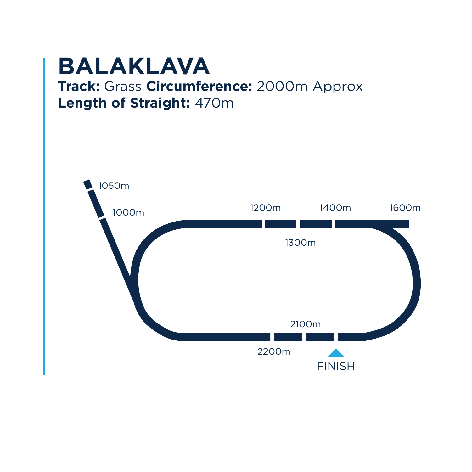## **BALAKLAVA**

#### **Track:** Grass **Circumference:** 2000m Approx **Length of Straight:** 470m

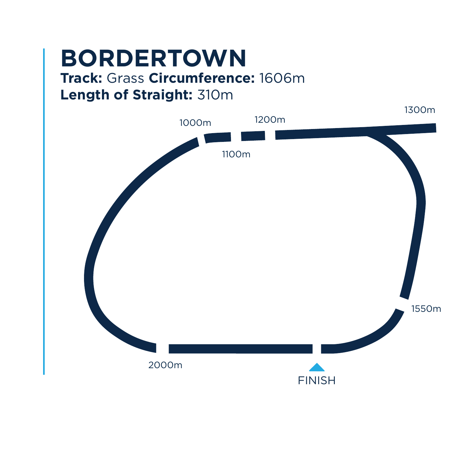# **BORDERTOWN**

#### **Track:** Grass **Circumference:** 1606m **Length of Straight:** 310m

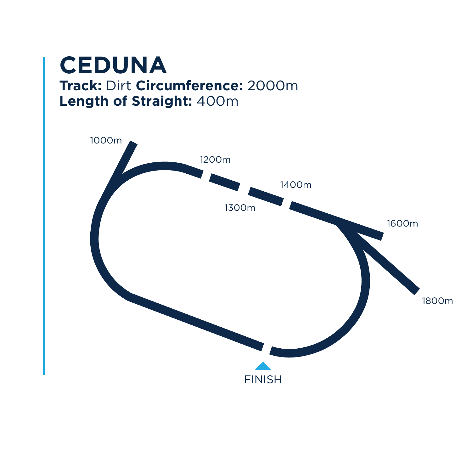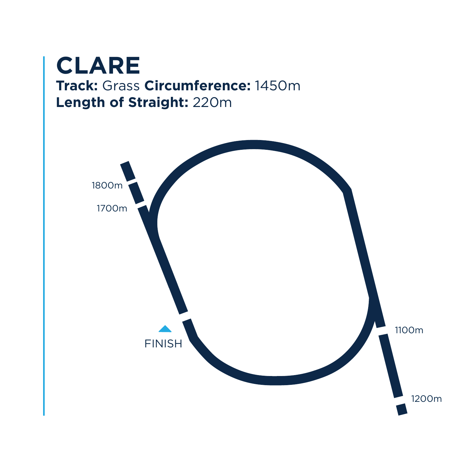

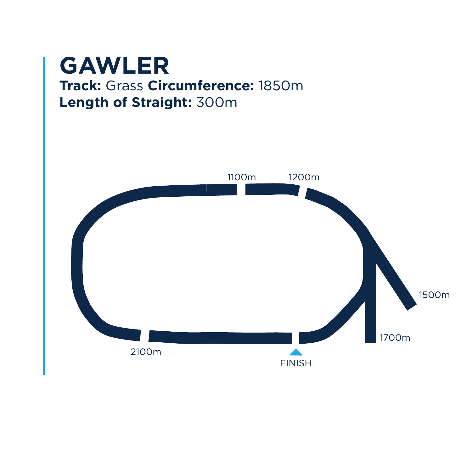### **GAWLER Track:** Grass **Circumference:** 1850m **Length of Straight:** 300m

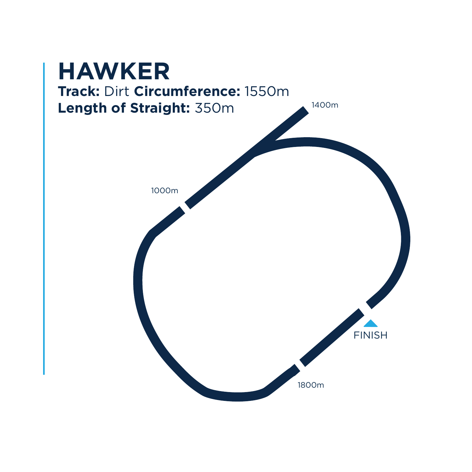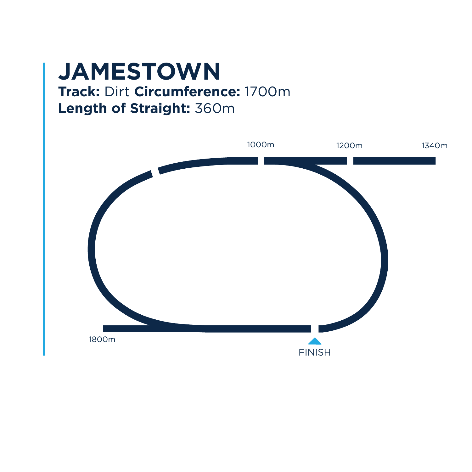## **JAMESTOWN Track:** Dirt **Circumference:** 1700m **Length of Straight:** 360m

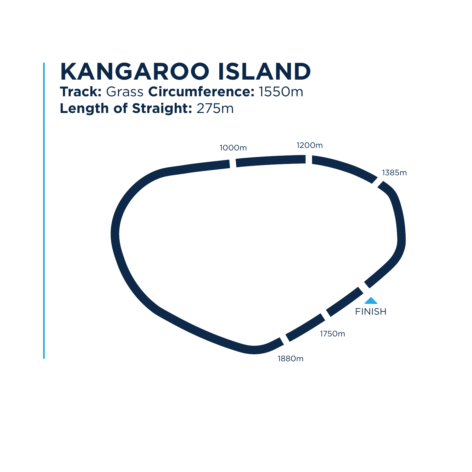## **KANGAROO ISLAND**

### **Track:** Grass **Circumference:** 1550m **Length of Straight:** 275m

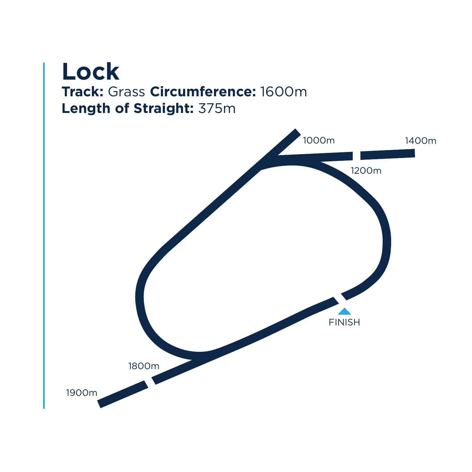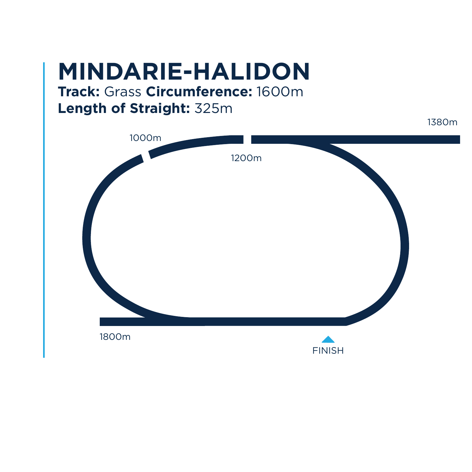## **MINDARIE-HALIDON**

#### **Track:** Grass **Circumference:** 1600m **Length of Straight:** 325m

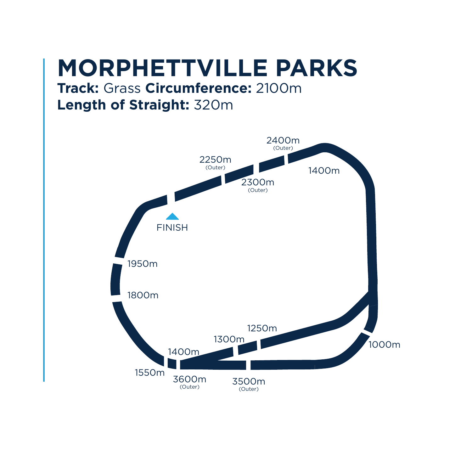## **MORPHETTVILLE PARKS**

#### **Track:** Grass **Circumference:** 2100m **Length of Straight:** 320m

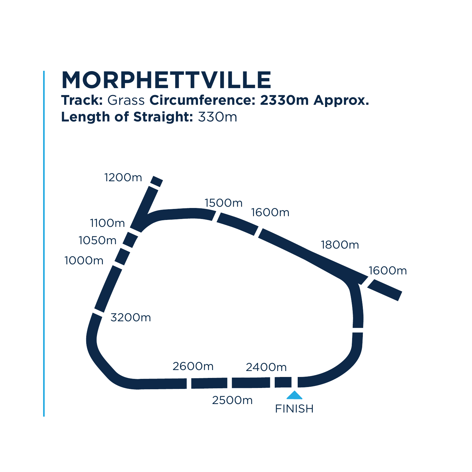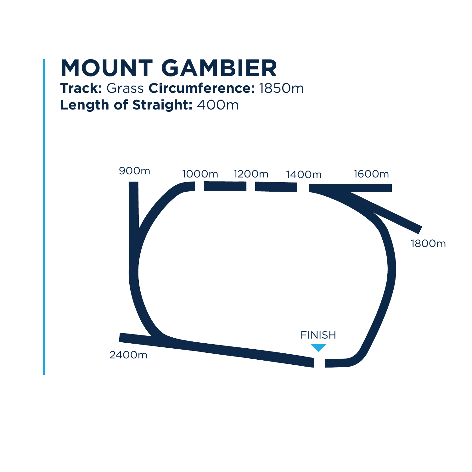

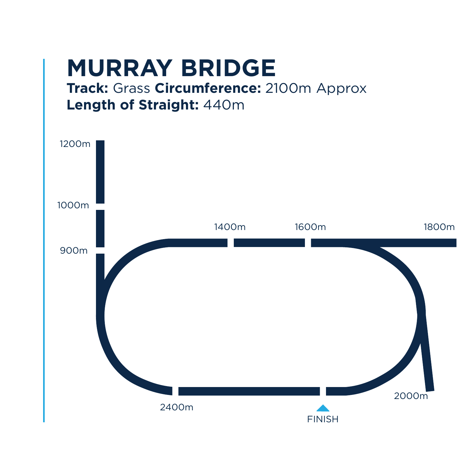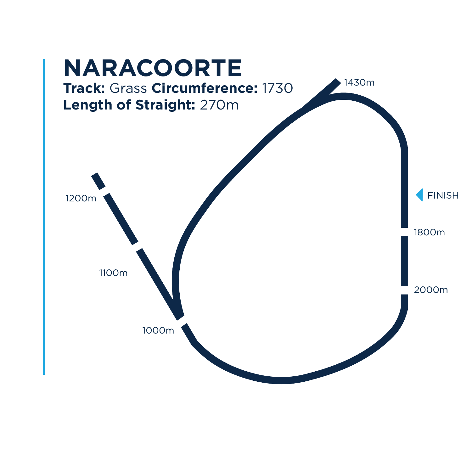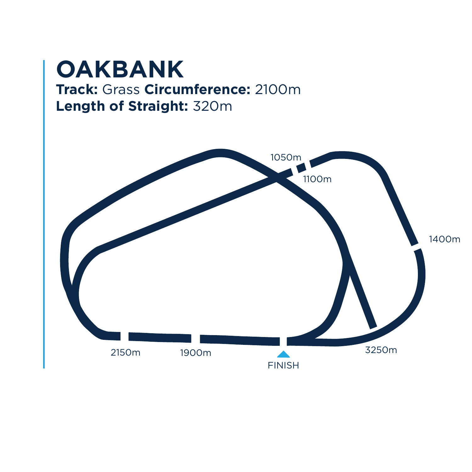### **OAKBANK Track:** Grass **Circumference:** 2100m **Length of Straight:** 320m

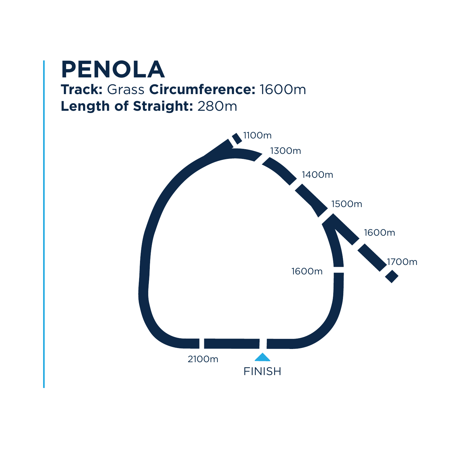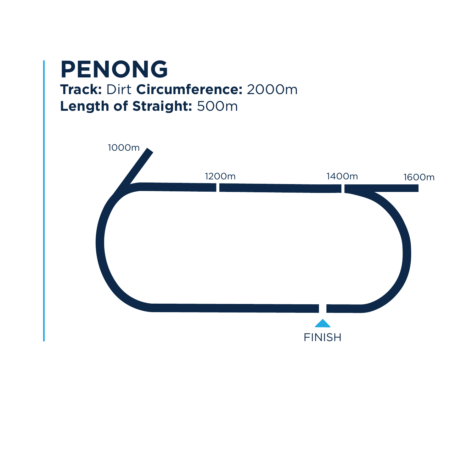## **PENONG Track:** Dirt **Circumference:** 2000m **Length of Straight:** 500m

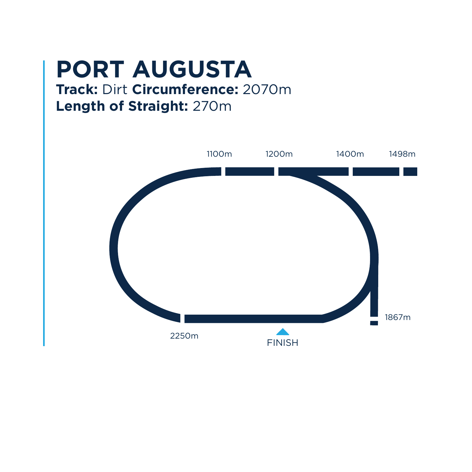### **PORT AUGUSTA Track:** Dirt **Circumference:** 2070m **Length of Straight:** 270m

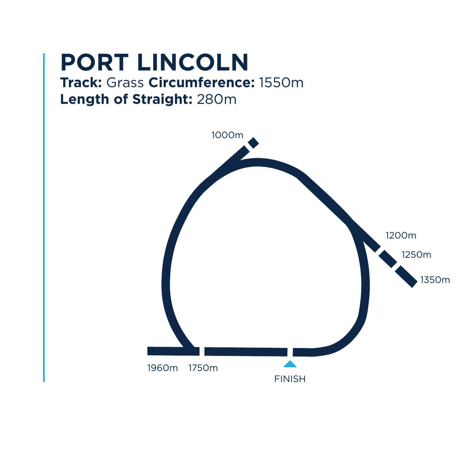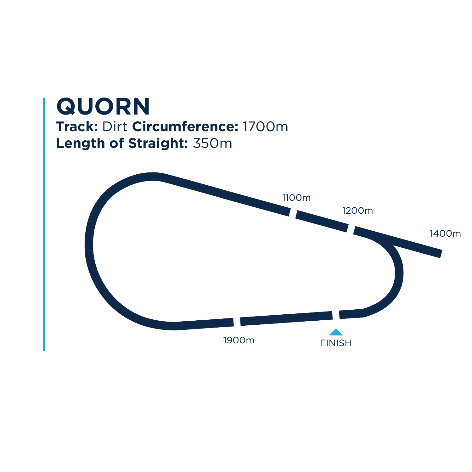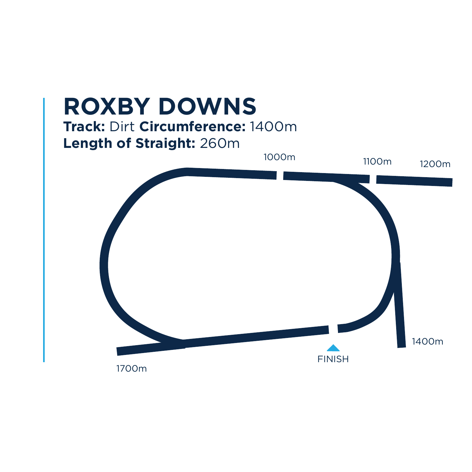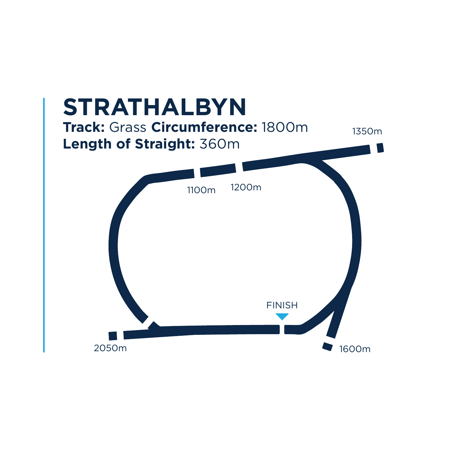![](_page_22_Figure_0.jpeg)